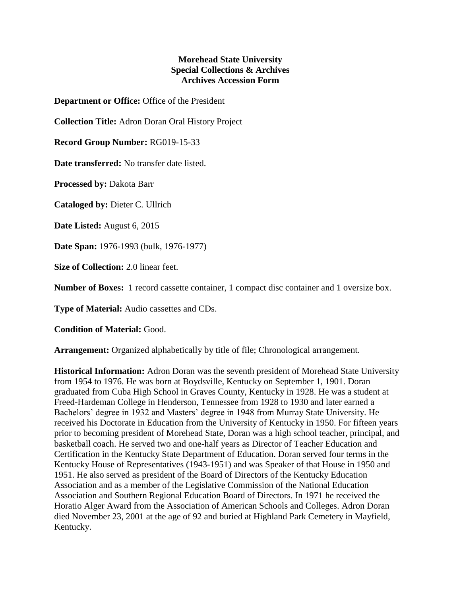## **Morehead State University Special Collections & Archives Archives Accession Form**

**Department or Office:** Office of the President

**Collection Title:** Adron Doran Oral History Project

**Record Group Number:** RG019-15-33

**Date transferred:** No transfer date listed.

**Processed by:** Dakota Barr

**Cataloged by:** Dieter C. Ullrich

**Date Listed:** August 6, 2015

**Date Span:** 1976-1993 (bulk, 1976-1977)

**Size of Collection:** 2.0 linear feet.

**Number of Boxes:** 1 record cassette container, 1 compact disc container and 1 oversize box.

**Type of Material:** Audio cassettes and CDs.

**Condition of Material:** Good.

**Arrangement:** Organized alphabetically by title of file; Chronological arrangement.

**Historical Information:** Adron Doran was the seventh president of Morehead State University from 1954 to 1976. He was born at Boydsville, Kentucky on September 1, 1901. Doran graduated from Cuba High School in Graves County, Kentucky in 1928. He was a student at Freed-Hardeman College in Henderson, Tennessee from 1928 to 1930 and later earned a Bachelors' degree in 1932 and Masters' degree in 1948 from Murray State University. He received his Doctorate in Education from the University of Kentucky in 1950. For fifteen years prior to becoming president of Morehead State, Doran was a high school teacher, principal, and basketball coach. He served two and one-half years as Director of Teacher Education and Certification in the Kentucky State Department of Education. Doran served four terms in the Kentucky House of Representatives (1943-1951) and was Speaker of that House in 1950 and 1951. He also served as president of the Board of Directors of the Kentucky Education Association and as a member of the Legislative Commission of the National Education Association and Southern Regional Education Board of Directors. In 1971 he received the Horatio Alger Award from the Association of American Schools and Colleges. Adron Doran died November 23, 2001 at the age of 92 and buried at Highland Park Cemetery in Mayfield, Kentucky.